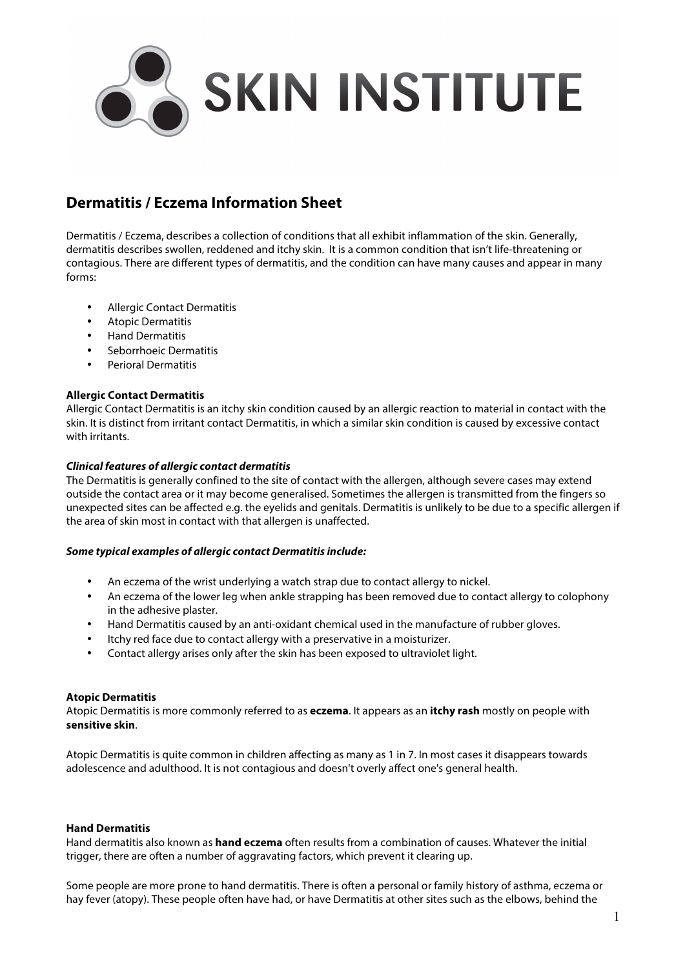

# **Dermatitis / Eczema Information Sheet**

Dermatitis / Eczema, describes a collection of conditions that all exhibit inflammation of the skin. Generally, dermatitis describes swollen, reddened and itchy skin. It is a common condition that isn't life-threatening or contagious. There are different types of dermatitis, and the condition can have many causes and appear in many forms:

- Allergic Contact Dermatitis
- Atopic Dermatitis
- Hand Dermatitis
- Seborrhoeic Dermatitis
- Perioral Dermatitis

## **Allergic Contact Dermatitis**

Allergic Contact Dermatitis is an itchy skin condition caused by an allergic reaction to material in contact with the skin. It is distinct from irritant contact Dermatitis, in which a similar skin condition is caused by excessive contact with irritants.

## *Clinical features of allergic contact dermatitis*

The Dermatitis is generally confined to the site of contact with the allergen, although severe cases may extend outside the contact area or it may become generalised. Sometimes the allergen is transmitted from the fingers so unexpected sites can be affected e.g. the eyelids and genitals. Dermatitis is unlikely to be due to a specific allergen if the area of skin most in contact with that allergen is unaffected.

### *Some typical examples of allergic contact Dermatitis include:*

- An eczema of the wrist underlying a watch strap due to contact allergy to nickel.
- An eczema of the lower leg when ankle strapping has been removed due to contact allergy to colophony in the adhesive plaster.
- Hand Dermatitis caused by an anti-oxidant chemical used in the manufacture of rubber gloves.
- Itchy red face due to contact allergy with a preservative in a moisturizer.
- Contact allergy arises only after the skin has been exposed to ultraviolet light.

### **Atopic Dermatitis**

Atopic Dermatitis is more commonly referred to as **eczema**. It appears as an **itchy rash** mostly on people with **sensitive skin**.

Atopic Dermatitis is quite common in children affecting as many as 1 in 7. In most cases it disappears towards adolescence and adulthood. It is not contagious and doesn't overly affect one's general health.

### **Hand Dermatitis**

Hand dermatitis also known as **hand eczema** often results from a combination of causes. Whatever the initial trigger, there are often a number of aggravating factors, which prevent it clearing up.

Some people are more prone to hand dermatitis. There is often a personal or family history of asthma, eczema or hay fever (atopy). These people often have had, or have Dermatitis at other sites such as the elbows, behind the